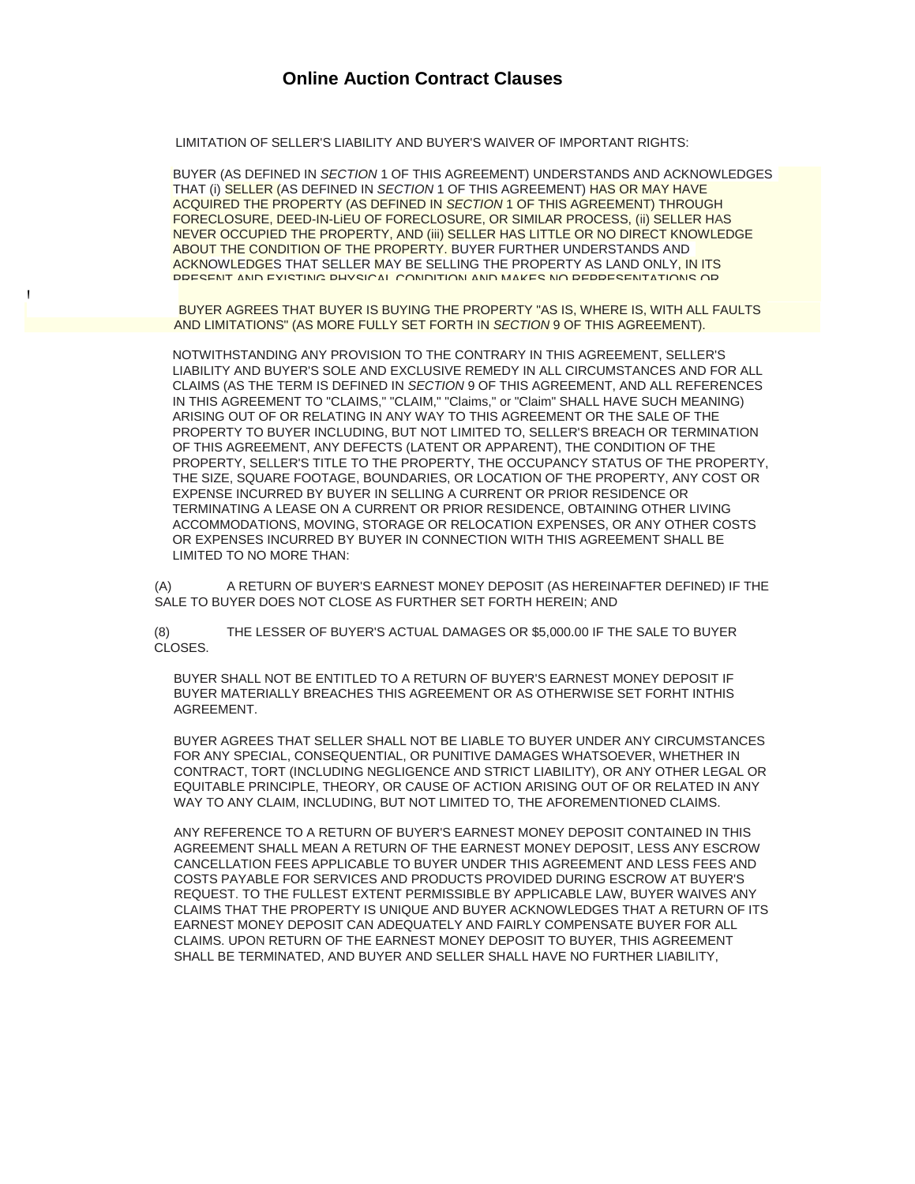# **Online Auction Contract Clauses**

LIMITATION OF SELLER'S LIABILITY AND BUYER'S WAIVER OF IMPORTANT RIGHTS:

BUYER (AS DEFINED IN *SECTION* 1 OF THIS AGREEMENT) UNDERSTANDS AND ACKNOWLEDGES THAT (i) SELLER (AS DEFINED IN *SECTION* 1 OF THIS AGREEMENT) HAS OR MAY HAVE ACQUIRED THE PROPERTY (AS DEFINED IN *SECTION* 1 OF THIS AGREEMENT) THROUGH FORECLOSURE, DEED-IN-LiEU OF FORECLOSURE, OR SIMILAR PROCESS, (ii) SELLER HAS NEVER OCCUPIED THE PROPERTY, AND (iii) SELLER HAS LITTLE OR NO DIRECT KNOWLEDGE ABOUT THE CONDITION OF THE PROPERTY. BUYER FURTHER UNDERSTANDS AND ACKNOWLEDGES THAT SELLER MAY BE SELLING THE PROPERTY AS LAND ONLY, IN ITS PRESENT AND EXISTING PHYSICAL CONDITION AND MAKES NO REPRESENTATIONS OR

BUYER AGREES THAT BUYER IS BUYING THE PROPERTY "AS IS, WHERE IS, WITH ALL FAULTS AND LIMITATIONS" (AS MORE FULLY SET FORTH IN *SECTION* 9 OF THIS AGREEMENT).

NOTWITHSTANDING ANY PROVISION TO THE CONTRARY IN THIS AGREEMENT, SELLER'S LIABILITY AND BUYER'S SOLE AND EXCLUSIVE REMEDY IN ALL CIRCUMSTANCES AND FOR ALL CLAIMS (AS THE TERM IS DEFINED IN *SECTION* 9 OF THIS AGREEMENT, AND ALL REFERENCES IN THIS AGREEMENT TO "CLAIMS," "CLAIM," "Claims," or "Claim" SHALL HAVE SUCH MEANING) ARISING OUT OF OR RELATING IN ANY WAY TO THIS AGREEMENT OR THE SALE OF THE PROPERTY TO BUYER INCLUDING, BUT NOT LIMITED TO, SELLER'S BREACH OR TERMINATION OF THIS AGREEMENT, ANY DEFECTS (LATENT OR APPARENT), THE CONDITION OF THE PROPERTY, SELLER'S TITLE TO THE PROPERTY, THE OCCUPANCY STATUS OF THE PROPERTY, THE SIZE, SQUARE FOOTAGE, BOUNDARIES, OR LOCATION OF THE PROPERTY, ANY COST OR EXPENSE INCURRED BY BUYER IN SELLING A CURRENT OR PRIOR RESIDENCE OR TERMINATING A LEASE ON A CURRENT OR PRIOR RESIDENCE, OBTAINING OTHER LIVING ACCOMMODATIONS, MOVING, STORAGE OR RELOCATION EXPENSES, OR ANY OTHER COSTS OR EXPENSES INCURRED BY BUYER IN CONNECTION WITH THIS AGREEMENT SHALL BE LIMITED TO NO MORE THAN:

(A) A RETURN OF BUYER'S EARNEST MONEY DEPOSIT (AS HEREINAFTER DEFINED) IF THE SALE TO BUYER DOES NOT CLOSE AS FURTHER SET FORTH HEREIN; AND

(8) THE LESSER OF BUYER'S ACTUAL DAMAGES OR \$5,000.00 IF THE SALE TO BUYER CLOSES.

BUYER SHALL NOT BE ENTITLED TO A RETURN OF BUYER'S EARNEST MONEY DEPOSIT IF BUYER MATERIALLY BREACHES THIS AGREEMENT OR AS OTHERWISE SET FORHT INTHIS AGREEMENT.

BUYER AGREES THAT SELLER SHALL NOT BE LIABLE TO BUYER UNDER ANY CIRCUMSTANCES FOR ANY SPECIAL, CONSEQUENTIAL, OR PUNITIVE DAMAGES WHATSOEVER, WHETHER IN CONTRACT, TORT (INCLUDING NEGLIGENCE AND STRICT LIABILITY), OR ANY OTHER LEGAL OR EQUITABLE PRINCIPLE, THEORY, OR CAUSE OF ACTION ARISING OUT OF OR RELATED IN ANY WAY TO ANY CLAIM, INCLUDING, BUT NOT LIMITED TO, THE AFOREMENTIONED CLAIMS.

ANY REFERENCE TO A RETURN OF BUYER'S EARNEST MONEY DEPOSIT CONTAINED IN THIS AGREEMENT SHALL MEAN A RETURN OF THE EARNEST MONEY DEPOSIT, LESS ANY ESCROW CANCELLATION FEES APPLICABLE TO BUYER UNDER THIS AGREEMENT AND LESS FEES AND COSTS PAYABLE FOR SERVICES AND PRODUCTS PROVIDED DURING ESCROW AT BUYER'S REQUEST. TO THE FULLEST EXTENT PERMISSIBLE BY APPLICABLE LAW, BUYER WAIVES ANY CLAIMS THAT THE PROPERTY IS UNIQUE AND BUYER ACKNOWLEDGES THAT A RETURN OF ITS EARNEST MONEY DEPOSIT CAN ADEQUATELY AND FAIRLY COMPENSATE BUYER FOR ALL CLAIMS. UPON RETURN OF THE EARNEST MONEY DEPOSIT TO BUYER, THIS AGREEMENT SHALL BE TERMINATED, AND BUYER AND SELLER SHALL HAVE NO FURTHER LIABILITY,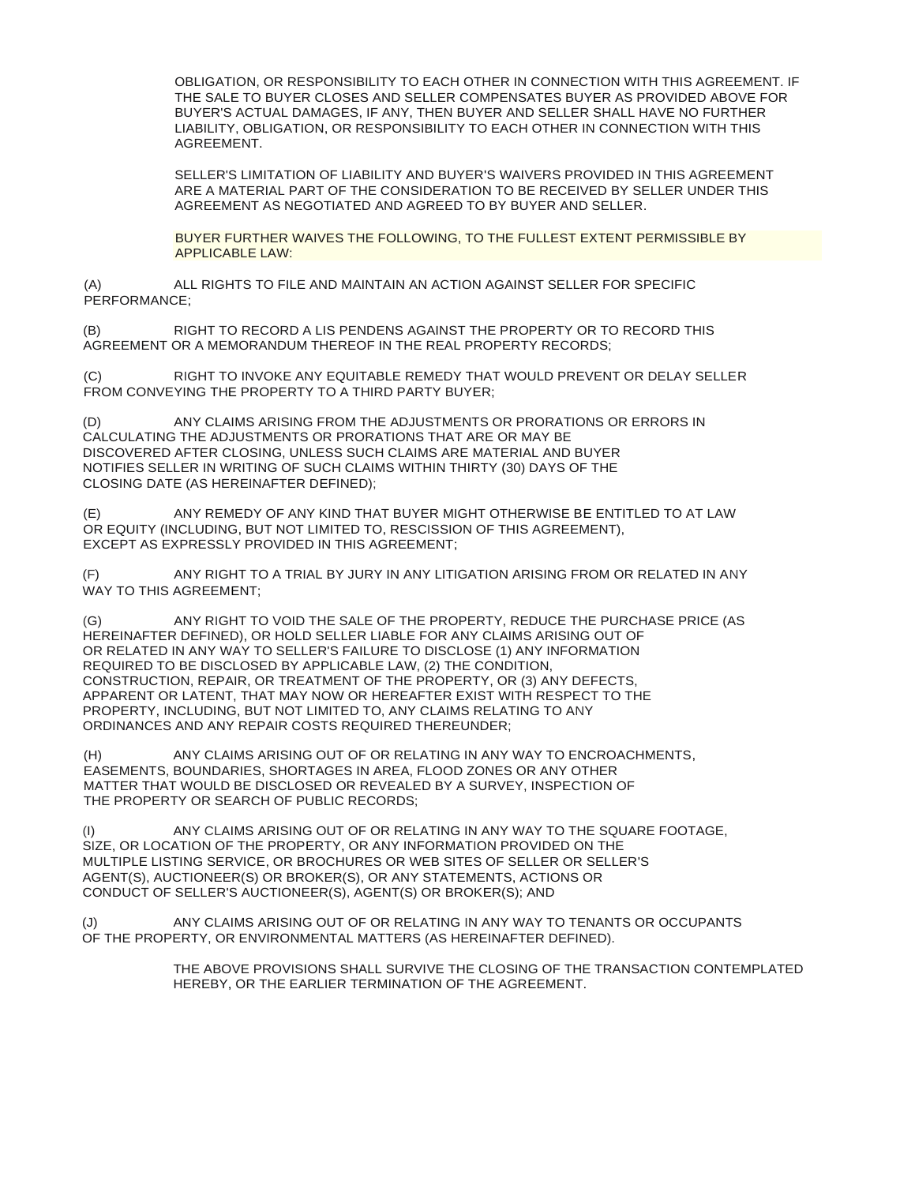OBLIGATION, OR RESPONSIBILITY TO EACH OTHER IN CONNECTION WITH THIS AGREEMENT. IF THE SALE TO BUYER CLOSES AND SELLER COMPENSATES BUYER AS PROVIDED ABOVE FOR BUYER'S ACTUAL DAMAGES, IF ANY, THEN BUYER AND SELLER SHALL HAVE NO FURTHER LIABILITY, OBLIGATION, OR RESPONSIBILITY TO EACH OTHER IN CONNECTION WITH THIS AGREEMENT.

SELLER'S LIMITATION OF LIABILITY AND BUYER'S WAIVERS PROVIDED IN THIS AGREEMENT ARE A MATERIAL PART OF THE CONSIDERATION TO BE RECEIVED BY SELLER UNDER THIS AGREEMENT AS NEGOTIATED AND AGREED TO BY BUYER AND SELLER.

BUYER FURTHER WAIVES THE FOLLOWING, TO THE FULLEST EXTENT PERMISSIBLE BY APPLICABLE LAW:

(A) ALL RIGHTS TO FILE AND MAINTAIN AN ACTION AGAINST SELLER FOR SPECIFIC PERFORMANCE;

(B) RIGHT TO RECORD A LIS PENDENS AGAINST THE PROPERTY OR TO RECORD THIS AGREEMENT OR A MEMORANDUM THEREOF IN THE REAL PROPERTY RECORDS;

(C) RIGHT TO INVOKE ANY EQUITABLE REMEDY THAT WOULD PREVENT OR DELAY SELLER FROM CONVEYING THE PROPERTY TO A THIRD PARTY BUYER;

(D) ANY CLAIMS ARISING FROM THE ADJUSTMENTS OR PRORATIONS OR ERRORS IN CALCULATING THE ADJUSTMENTS OR PRORATIONS THAT ARE OR MAY BE DISCOVERED AFTER CLOSING, UNLESS SUCH CLAIMS ARE MATERIAL AND BUYER NOTIFIES SELLER IN WRITING OF SUCH CLAIMS WITHIN THIRTY (30) DAYS OF THE CLOSING DATE (AS HEREINAFTER DEFINED);

(E) ANY REMEDY OF ANY KIND THAT BUYER MIGHT OTHERWISE BE ENTITLED TO AT LAW OR EQUITY (INCLUDING, BUT NOT LIMITED TO, RESCISSION OF THIS AGREEMENT), EXCEPT AS EXPRESSLY PROVIDED IN THIS AGREEMENT;

(F) ANY RIGHT TO A TRIAL BY JURY IN ANY LITIGATION ARISING FROM OR RELATED IN ANY WAY TO THIS AGREEMENT:

(G) ANY RIGHT TO VOID THE SALE OF THE PROPERTY, REDUCE THE PURCHASE PRICE (AS HEREINAFTER DEFINED), OR HOLD SELLER LIABLE FOR ANY CLAIMS ARISING OUT OF OR RELATED IN ANY WAY TO SELLER'S FAILURE TO DISCLOSE (1) ANY INFORMATION REQUIRED TO BE DISCLOSED BY APPLICABLE LAW, (2) THE CONDITION, CONSTRUCTION, REPAIR, OR TREATMENT OF THE PROPERTY, OR (3) ANY DEFECTS, APPARENT OR LATENT, THAT MAY NOW OR HEREAFTER EXIST WITH RESPECT TO THE PROPERTY, INCLUDING, BUT NOT LIMITED TO, ANY CLAIMS RELATING TO ANY ORDINANCES AND ANY REPAIR COSTS REQUIRED THEREUNDER;

(H) ANY CLAIMS ARISING OUT OF OR RELATING IN ANY WAY TO ENCROACHMENTS, EASEMENTS, BOUNDARIES, SHORTAGES IN AREA, FLOOD ZONES OR ANY OTHER MATTER THAT WOULD BE DISCLOSED OR REVEALED BY A SURVEY, INSPECTION OF THE PROPERTY OR SEARCH OF PUBLIC RECORDS;

(I) ANY CLAIMS ARISING OUT OF OR RELATING IN ANY WAY TO THE SQUARE FOOTAGE, SIZE, OR LOCATION OF THE PROPERTY, OR ANY INFORMATION PROVIDED ON THE MULTIPLE LISTING SERVICE, OR BROCHURES OR WEB SITES OF SELLER OR SELLER'S AGENT(S), AUCTIONEER(S) OR BROKER(S), OR ANY STATEMENTS, ACTIONS OR CONDUCT OF SELLER'S AUCTIONEER(S), AGENT(S) OR BROKER(S); AND

(J) ANY CLAIMS ARISING OUT OF OR RELATING IN ANY WAY TO TENANTS OR OCCUPANTS OF THE PROPERTY, OR ENVIRONMENTAL MATTERS (AS HEREINAFTER DEFINED).

> THE ABOVE PROVISIONS SHALL SURVIVE THE CLOSING OF THE TRANSACTION CONTEMPLATED HEREBY, OR THE EARLIER TERMINATION OF THE AGREEMENT.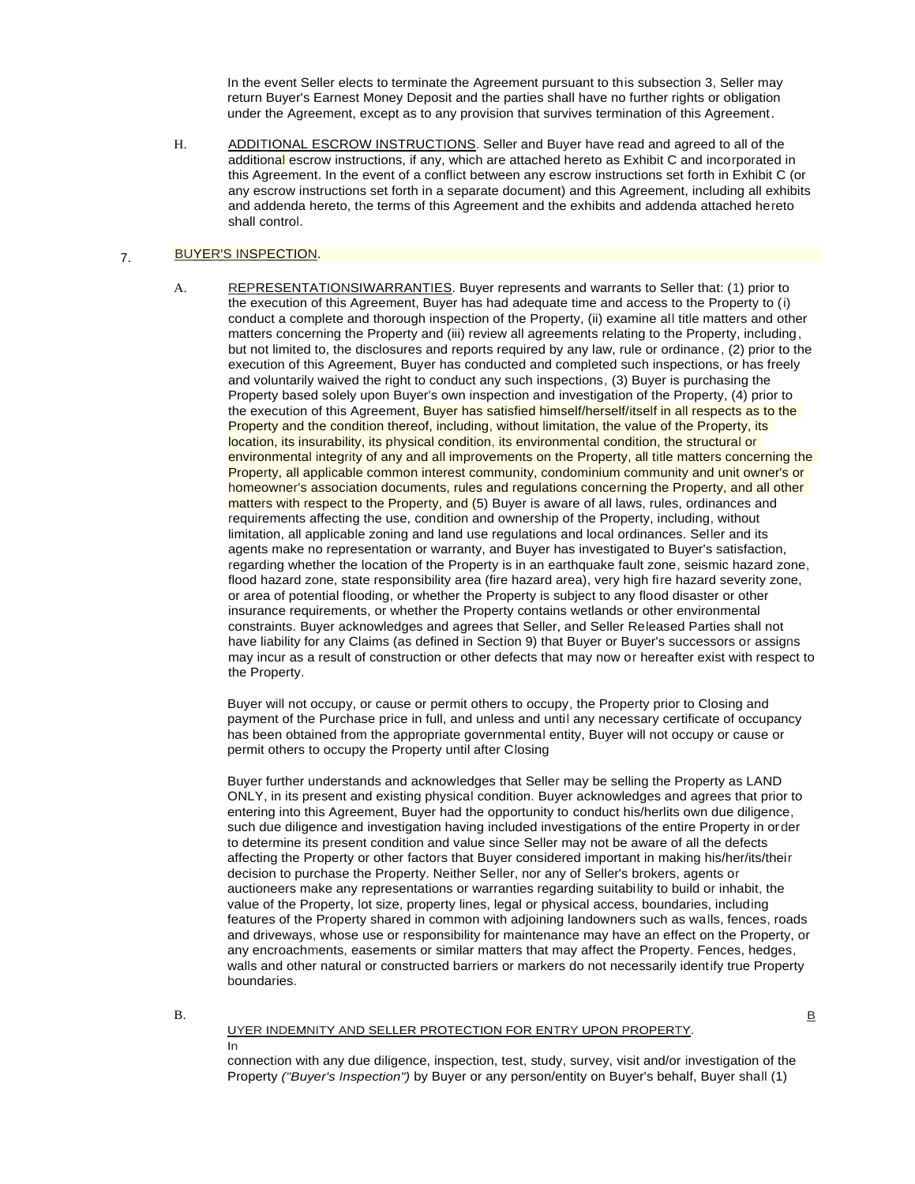In the event Seller elects to terminate the Agreement pursuant to this subsection 3, Seller may return Buyer's Earnest Money Deposit and the parties shall have no further rights or obligation under the Agreement, except as to any provision that survives termination of this Agreement.

H. ADDITIONAL ESCROW INSTRUCTIONS. Seller and Buyer have read and agreed to all of the additional escrow instructions, if any, which are attached hereto as Exhibit C and incorporated in this Agreement. In the event of a conflict between any escrow instructions set forth in Exhibit C (or any escrow instructions set forth in a separate document) and this Agreement, including all exhibits and addenda hereto, the terms of this Agreement and the exhibits and addenda attached hereto shall control.

#### 7. BUYER'S INSPECTION.

A. REPRESENTATIONSIWARRANTIES. Buyer represents and warrants to Seller that: (1) prior to the execution of this Agreement, Buyer has had adequate time and access to the Property to (i) conduct a complete and thorough inspection of the Property, (ii) examine all title matters and other matters concerning the Property and (iii) review all agreements relating to the Property, including, but not limited to, the disclosures and reports required by any law, rule or ordinance, (2) prior to the execution of this Agreement, Buyer has conducted and completed such inspections, or has freely and voluntarily waived the right to conduct any such inspections, (3) Buyer is purchasing the Property based solely upon Buyer's own inspection and investigation of the Property, (4) prior to the execution of this Agreement, Buyer has satisfied himself/herself/itself in all respects as to the Property and the condition thereof, including, without limitation, the value of the Property, its location, its insurability, its physical condition, its environmental condition, the structural or environmental integrity of any and all improvements on the Property, all title matters concerning the Property, all applicable common interest community, condominium community and unit owner's or homeowner's association documents, rules and regulations concerning the Property, and all other matters with respect to the Property, and (5) Buyer is aware of all laws, rules, ordinances and requirements affecting the use, condition and ownership of the Property, including, without limitation, all applicable zoning and land use regulations and local ordinances. Seller and its agents make no representation or warranty, and Buyer has investigated to Buyer's satisfaction, regarding whether the location of the Property is in an earthquake fault zone, seismic hazard zone, flood hazard zone, state responsibility area (fire hazard area), very high fire hazard severity zone, or area of potential flooding, or whether the Property is subject to any flood disaster or other insurance requirements, or whether the Property contains wetlands or other environmental constraints. Buyer acknowledges and agrees that Seller, and Seller Released Parties shall not have liability for any Claims (as defined in Section 9) that Buyer or Buyer's successors or assigns may incur as a result of construction or other defects that may now or hereafter exist with respect to the Property.

Buyer will not occupy, or cause or permit others to occupy, the Property prior to Closing and payment of the Purchase price in full, and unless and until any necessary certificate of occupancy has been obtained from the appropriate governmental entity, Buyer will not occupy or cause or permit others to occupy the Property until after Closing

Buyer further understands and acknowledges that Seller may be selling the Property as LAND ONLY, in its present and existing physical condition. Buyer acknowledges and agrees that prior to entering into this Agreement, Buyer had the opportunity to conduct his/herlits own due diligence, such due diligence and investigation having included investigations of the entire Property in order to determine its present condition and value since Seller may not be aware of all the defects affecting the Property or other factors that Buyer considered important in making his/her/its/their decision to purchase the Property. Neither Seller, nor any of Seller's brokers, agents or auctioneers make any representations or warranties regarding suitability to build or inhabit, the value of the Property, lot size, property lines, legal or physical access, boundaries, including features of the Property shared in common with adjoining landowners such as walls, fences, roads and driveways, whose use or responsibility for maintenance may have an effect on the Property, or any encroachments, easements or similar matters that may affect the Property. Fences, hedges, walls and other natural or constructed barriers or markers do not necessarily identify true Property boundaries.

B. B. B. Contract of the second contract of the second contract of the second contract of the second contract of the second contract of the second contract of the second contract of the second contract of the second contra

### UYER INDEMNITY AND SELLER PROTECTION FOR ENTRY UPON PROPERTY.

### In

connection with any due diligence, inspection, test, study, survey, visit and/or investigation of the Property *("Buyer's Inspection")* by Buyer or any person/entity on Buyer's behalf, Buyer shall (1)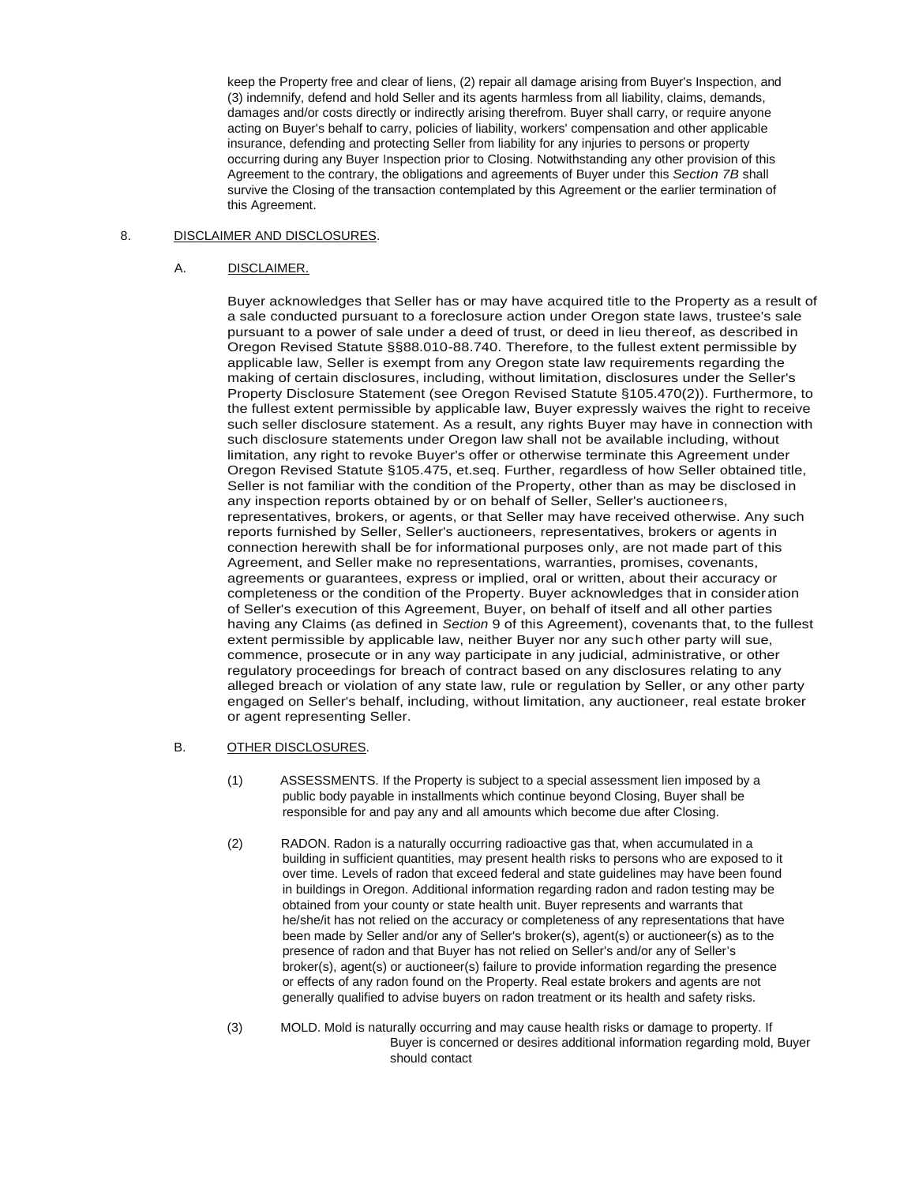keep the Property free and clear of liens, (2) repair all damage arising from Buyer's Inspection, and (3) indemnify, defend and hold Seller and its agents harmless from all liability, claims, demands, damages and/or costs directly or indirectly arising therefrom. Buyer shall carry, or require anyone acting on Buyer's behalf to carry, policies of liability, workers' compensation and other applicable insurance, defending and protecting Seller from liability for any injuries to persons or property occurring during any Buyer Inspection prior to Closing. Notwithstanding any other provision of this Agreement to the contrary, the obligations and agreements of Buyer under this *Section 7B* shall survive the Closing of the transaction contemplated by this Agreement or the earlier termination of this Agreement.

# 8. DISCLAIMER AND DISCLOSURES.

# A. DISCLAIMER.

Buyer acknowledges that Seller has or may have acquired title to the Property as a result of a sale conducted pursuant to a foreclosure action under Oregon state laws, trustee's sale pursuant to a power of sale under a deed of trust, or deed in lieu thereof, as described in Oregon Revised Statute §§88.010-88.740. Therefore, to the fullest extent permissible by applicable law, Seller is exempt from any Oregon state law requirements regarding the making of certain disclosures, including, without limitation, disclosures under the Seller's Property Disclosure Statement (see Oregon Revised Statute §105.470(2)). Furthermore, to the fullest extent permissible by applicable law, Buyer expressly waives the right to receive such seller disclosure statement. As a result, any rights Buyer may have in connection with such disclosure statements under Oregon law shall not be available including, without limitation, any right to revoke Buyer's offer or otherwise terminate this Agreement under Oregon Revised Statute §105.475, et.seq. Further, regardless of how Seller obtained title, Seller is not familiar with the condition of the Property, other than as may be disclosed in any inspection reports obtained by or on behalf of Seller, Seller's auctioneers, representatives, brokers, or agents, or that Seller may have received otherwise. Any such reports furnished by Seller, Seller's auctioneers, representatives, brokers or agents in connection herewith shall be for informational purposes only, are not made part of this Agreement, and Seller make no representations, warranties, promises, covenants, agreements or guarantees, express or implied, oral or written, about their accuracy or completeness or the condition of the Property. Buyer acknowledges that in consideration of Seller's execution of this Agreement, Buyer, on behalf of itself and all other parties having any Claims (as defined in *Section* 9 of this Agreement), covenants that, to the fullest extent permissible by applicable law, neither Buyer nor any such other party will sue, commence, prosecute or in any way participate in any judicial, administrative, or other regulatory proceedings for breach of contract based on any disclosures relating to any alleged breach or violation of any state law, rule or regulation by Seller, or any other party engaged on Seller's behalf, including, without limitation, any auctioneer, real estate broker or agent representing Seller.

## B. OTHER DISCLOSURES.

- (1) ASSESSMENTS. If the Property is subject to a special assessment lien imposed by a public body payable in installments which continue beyond Closing, Buyer shall be responsible for and pay any and all amounts which become due after Closing.
- (2) RADON. Radon is a naturally occurring radioactive gas that, when accumulated in a building in sufficient quantities, may present health risks to persons who are exposed to it over time. Levels of radon that exceed federal and state guidelines may have been found in buildings in Oregon. Additional information regarding radon and radon testing may be obtained from your county or state health unit. Buyer represents and warrants that he/she/it has not relied on the accuracy or completeness of any representations that have been made by Seller and/or any of Seller's broker(s), agent(s) or auctioneer(s) as to the presence of radon and that Buyer has not relied on Seller's and/or any of Seller's broker(s), agent(s) or auctioneer(s) failure to provide information regarding the presence or effects of any radon found on the Property. Real estate brokers and agents are not generally qualified to advise buyers on radon treatment or its health and safety risks.
- (3) MOLD. Mold is naturally occurring and may cause health risks or damage to property. If Buyer is concerned or desires additional information regarding mold, Buyer should contact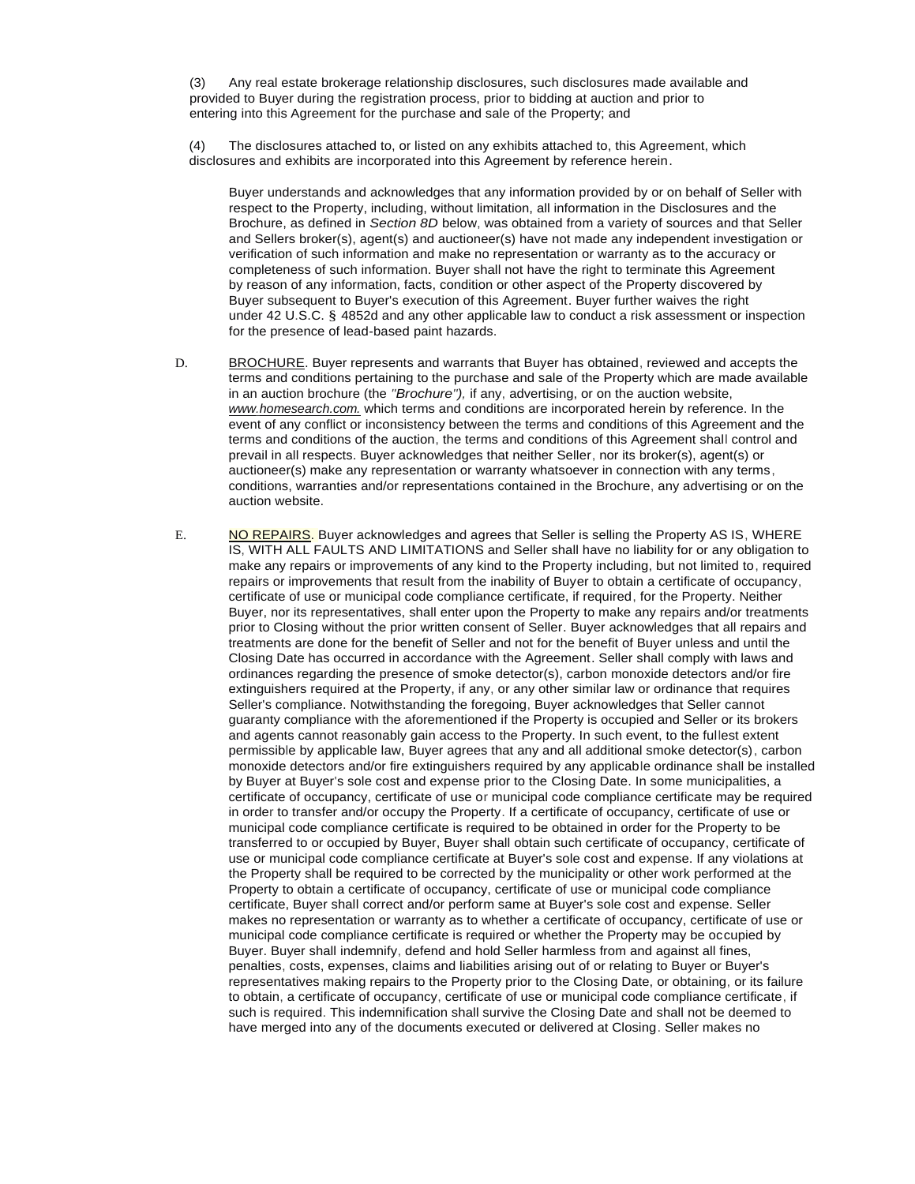(3) Any real estate brokerage relationship disclosures, such disclosures made available and provided to Buyer during the registration process, prior to bidding at auction and prior to entering into this Agreement for the purchase and sale of the Property; and

(4) The disclosures attached to, or listed on any exhibits attached to, this Agreement, which disclosures and exhibits are incorporated into this Agreement by reference herein.

Buyer understands and acknowledges that any information provided by or on behalf of Seller with respect to the Property, including, without limitation, all information in the Disclosures and the Brochure, as defined in *Section 8D* below, was obtained from a variety of sources and that Seller and Sellers broker(s), agent(s) and auctioneer(s) have not made any independent investigation or verification of such information and make no representation or warranty as to the accuracy or completeness of such information. Buyer shall not have the right to terminate this Agreement by reason of any information, facts, condition or other aspect of the Property discovered by Buyer subsequent to Buyer's execution of this Agreement. Buyer further waives the right under 42 U.S.C. § 4852d and any other applicable law to conduct a risk assessment or inspection for the presence of lead-based paint hazards.

- D. BROCHURE. Buyer represents and warrants that Buyer has obtained, reviewed and accepts the terms and conditions pertaining to the purchase and sale of the Property which are made available in an auction brochure (the *"Brochure"),* if any, advertising, or on the auction website, *[www.homesearch.com.](http://www.homesearch.com./)* which terms and conditions are incorporated herein by reference. In the event of any conflict or inconsistency between the terms and conditions of this Agreement and the terms and conditions of the auction, the terms and conditions of this Agreement shall control and prevail in all respects. Buyer acknowledges that neither Seller, nor its broker(s), agent(s) or auctioneer(s) make any representation or warranty whatsoever in connection with any terms, conditions, warranties and/or representations contained in the Brochure, any advertising or on the auction website.
- E. NO REPAIRS. Buyer acknowledges and agrees that Seller is selling the Property AS IS, WHERE IS, WITH ALL FAULTS AND LIMITATIONS and Seller shall have no liability for or any obligation to make any repairs or improvements of any kind to the Property including, but not limited to, required repairs or improvements that result from the inability of Buyer to obtain a certificate of occupancy, certificate of use or municipal code compliance certificate, if required, for the Property. Neither Buyer, nor its representatives, shall enter upon the Property to make any repairs and/or treatments prior to Closing without the prior written consent of Seller. Buyer acknowledges that all repairs and treatments are done for the benefit of Seller and not for the benefit of Buyer unless and until the Closing Date has occurred in accordance with the Agreement. Seller shall comply with laws and ordinances regarding the presence of smoke detector(s), carbon monoxide detectors and/or fire extinguishers required at the Property, if any, or any other similar law or ordinance that requires Seller's compliance. Notwithstanding the foregoing, Buyer acknowledges that Seller cannot guaranty compliance with the aforementioned if the Property is occupied and Seller or its brokers and agents cannot reasonably gain access to the Property. In such event, to the fullest extent permissible by applicable law, Buyer agrees that any and all additional smoke detector(s), carbon monoxide detectors and/or fire extinguishers required by any applicable ordinance shall be installed by Buyer at Buyer's sole cost and expense prior to the Closing Date. In some municipalities, a certificate of occupancy, certificate of use or municipal code compliance certificate may be required in order to transfer and/or occupy the Property. If a certificate of occupancy, certificate of use or municipal code compliance certificate is required to be obtained in order for the Property to be transferred to or occupied by Buyer, Buyer shall obtain such certificate of occupancy, certificate of use or municipal code compliance certificate at Buyer's sole cost and expense. If any violations at the Property shall be required to be corrected by the municipality or other work performed at the Property to obtain a certificate of occupancy, certificate of use or municipal code compliance certificate, Buyer shall correct and/or perform same at Buyer's sole cost and expense. Seller makes no representation or warranty as to whether a certificate of occupancy, certificate of use or municipal code compliance certificate is required or whether the Property may be occupied by Buyer. Buyer shall indemnify, defend and hold Seller harmless from and against all fines, penalties, costs, expenses, claims and liabilities arising out of or relating to Buyer or Buyer's representatives making repairs to the Property prior to the Closing Date, or obtaining, or its failure to obtain, a certificate of occupancy, certificate of use or municipal code compliance certificate, if such is required. This indemnification shall survive the Closing Date and shall not be deemed to have merged into any of the documents executed or delivered at Closing. Seller makes no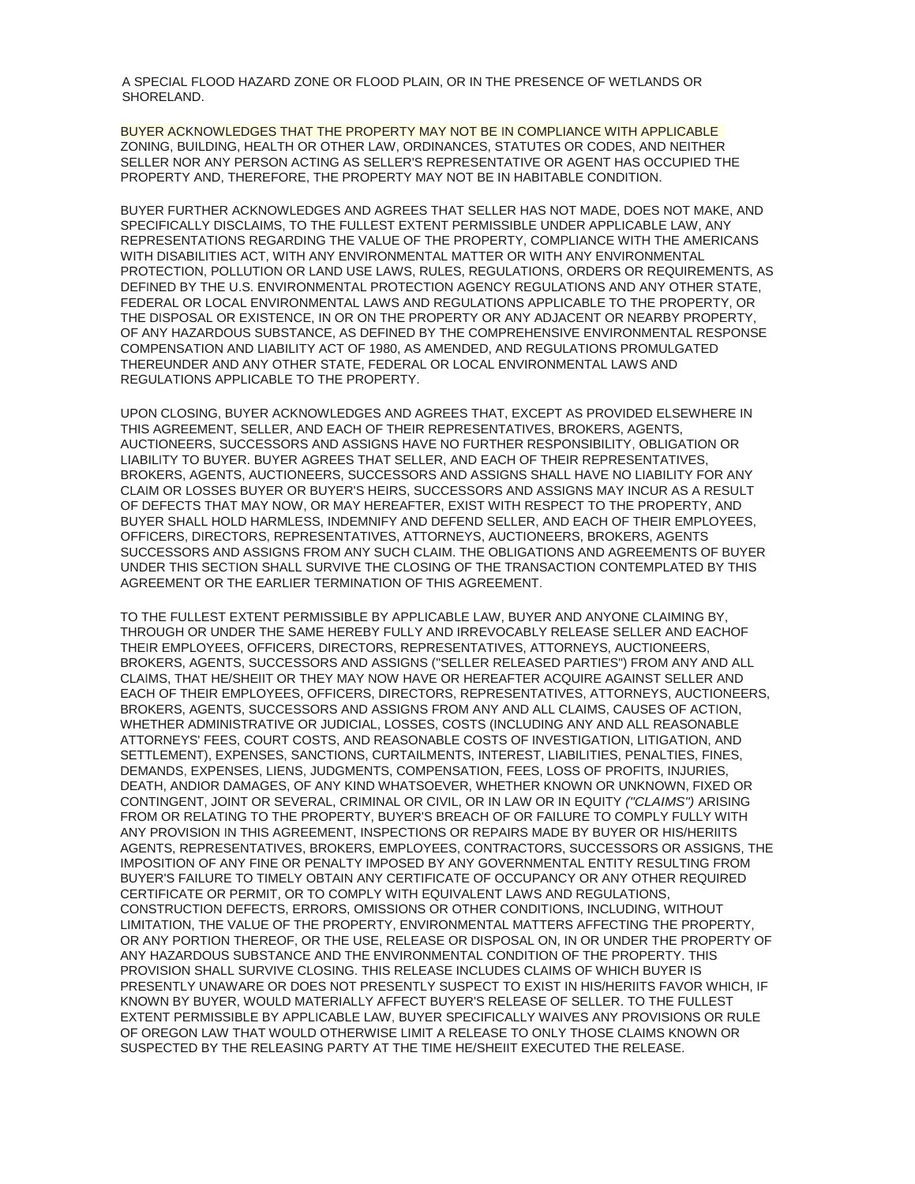A SPECIAL FLOOD HAZARD ZONE OR FLOOD PLAIN, OR IN THE PRESENCE OF WETLANDS OR SHORELAND.

BUYER ACKNOWLEDGES THAT THE PROPERTY MAY NOT BE IN COMPLIANCE WITH APPLICABLE ZONING, BUILDING, HEALTH OR OTHER LAW, ORDINANCES, STATUTES OR CODES, AND NEITHER SELLER NOR ANY PERSON ACTING AS SELLER'S REPRESENTATIVE OR AGENT HAS OCCUPIED THE PROPERTY AND, THEREFORE, THE PROPERTY MAY NOT BE IN HABITABLE CONDITION.

BUYER FURTHER ACKNOWLEDGES AND AGREES THAT SELLER HAS NOT MADE, DOES NOT MAKE, AND SPECIFICALLY DISCLAIMS, TO THE FULLEST EXTENT PERMISSIBLE UNDER APPLICABLE LAW, ANY REPRESENTATIONS REGARDING THE VALUE OF THE PROPERTY, COMPLIANCE WITH THE AMERICANS WITH DISABILITIES ACT, WITH ANY ENVIRONMENTAL MATTER OR WITH ANY ENVIRONMENTAL PROTECTION, POLLUTION OR LAND USE LAWS, RULES, REGULATIONS, ORDERS OR REQUIREMENTS, AS DEFINED BY THE U.S. ENVIRONMENTAL PROTECTION AGENCY REGULATIONS AND ANY OTHER STATE, FEDERAL OR LOCAL ENVIRONMENTAL LAWS AND REGULATIONS APPLICABLE TO THE PROPERTY, OR THE DISPOSAL OR EXISTENCE, IN OR ON THE PROPERTY OR ANY ADJACENT OR NEARBY PROPERTY, OF ANY HAZARDOUS SUBSTANCE, AS DEFINED BY THE COMPREHENSIVE ENVIRONMENTAL RESPONSE COMPENSATION AND LIABILITY ACT OF 1980, AS AMENDED, AND REGULATIONS PROMULGATED THEREUNDER AND ANY OTHER STATE, FEDERAL OR LOCAL ENVIRONMENTAL LAWS AND REGULATIONS APPLICABLE TO THE PROPERTY.

UPON CLOSING, BUYER ACKNOWLEDGES AND AGREES THAT, EXCEPT AS PROVIDED ELSEWHERE IN THIS AGREEMENT, SELLER, AND EACH OF THEIR REPRESENTATIVES, BROKERS, AGENTS, AUCTIONEERS, SUCCESSORS AND ASSIGNS HAVE NO FURTHER RESPONSIBILITY, OBLIGATION OR LIABILITY TO BUYER. BUYER AGREES THAT SELLER, AND EACH OF THEIR REPRESENTATIVES, BROKERS, AGENTS, AUCTIONEERS, SUCCESSORS AND ASSIGNS SHALL HAVE NO LIABILITY FOR ANY CLAIM OR LOSSES BUYER OR BUYER'S HEIRS, SUCCESSORS AND ASSIGNS MAY INCUR AS A RESULT OF DEFECTS THAT MAY NOW, OR MAY HEREAFTER, EXIST WITH RESPECT TO THE PROPERTY, AND BUYER SHALL HOLD HARMLESS, INDEMNIFY AND DEFEND SELLER, AND EACH OF THEIR EMPLOYEES, OFFICERS, DIRECTORS, REPRESENTATIVES, ATTORNEYS, AUCTIONEERS, BROKERS, AGENTS SUCCESSORS AND ASSIGNS FROM ANY SUCH CLAIM. THE OBLIGATIONS AND AGREEMENTS OF BUYER UNDER THIS SECTION SHALL SURVIVE THE CLOSING OF THE TRANSACTION CONTEMPLATED BY THIS AGREEMENT OR THE EARLIER TERMINATION OF THIS AGREEMENT.

TO THE FULLEST EXTENT PERMISSIBLE BY APPLICABLE LAW, BUYER AND ANYONE CLAIMING BY, THROUGH OR UNDER THE SAME HEREBY FULLY AND IRREVOCABLY RELEASE SELLER AND EACHOF THEIR EMPLOYEES, OFFICERS, DIRECTORS, REPRESENTATIVES, ATTORNEYS, AUCTIONEERS, BROKERS, AGENTS, SUCCESSORS AND ASSIGNS ("SELLER RELEASED PARTIES") FROM ANY AND ALL CLAIMS, THAT HE/SHEIIT OR THEY MAY NOW HAVE OR HEREAFTER ACQUIRE AGAINST SELLER AND EACH OF THEIR EMPLOYEES, OFFICERS, DIRECTORS, REPRESENTATIVES, ATTORNEYS, AUCTIONEERS, BROKERS, AGENTS, SUCCESSORS AND ASSIGNS FROM ANY AND ALL CLAIMS, CAUSES OF ACTION, WHETHER ADMINISTRATIVE OR JUDICIAL, LOSSES, COSTS (INCLUDING ANY AND ALL REASONABLE ATTORNEYS' FEES, COURT COSTS, AND REASONABLE COSTS OF INVESTIGATION, LITIGATION, AND SETTLEMENT), EXPENSES, SANCTIONS, CURTAILMENTS, INTEREST, LIABILITIES, PENALTIES, FINES, DEMANDS, EXPENSES, LIENS, JUDGMENTS, COMPENSATION, FEES, LOSS OF PROFITS, INJURIES, DEATH, ANDIOR DAMAGES, OF ANY KIND WHATSOEVER, WHETHER KNOWN OR UNKNOWN, FIXED OR CONTINGENT, JOINT OR SEVERAL, CRIMINAL OR CIVIL, OR IN LAW OR IN EQUITY *("CLAIMS")* ARISING FROM OR RELATING TO THE PROPERTY, BUYER'S BREACH OF OR FAILURE TO COMPLY FULLY WITH ANY PROVISION IN THIS AGREEMENT, INSPECTIONS OR REPAIRS MADE BY BUYER OR HIS/HERIITS AGENTS, REPRESENTATIVES, BROKERS, EMPLOYEES, CONTRACTORS, SUCCESSORS OR ASSIGNS, THE IMPOSITION OF ANY FINE OR PENALTY IMPOSED BY ANY GOVERNMENTAL ENTITY RESULTING FROM BUYER'S FAILURE TO TIMELY OBTAIN ANY CERTIFICATE OF OCCUPANCY OR ANY OTHER REQUIRED CERTIFICATE OR PERMIT, OR TO COMPLY WITH EQUIVALENT LAWS AND REGULATIONS, CONSTRUCTION DEFECTS, ERRORS, OMISSIONS OR OTHER CONDITIONS, INCLUDING, WITHOUT LIMITATION, THE VALUE OF THE PROPERTY, ENVIRONMENTAL MATTERS AFFECTING THE PROPERTY, OR ANY PORTION THEREOF, OR THE USE, RELEASE OR DISPOSAL ON, IN OR UNDER THE PROPERTY OF ANY HAZARDOUS SUBSTANCE AND THE ENVIRONMENTAL CONDITION OF THE PROPERTY. THIS PROVISION SHALL SURVIVE CLOSING. THIS RELEASE INCLUDES CLAIMS OF WHICH BUYER IS PRESENTLY UNAWARE OR DOES NOT PRESENTLY SUSPECT TO EXIST IN HIS/HERIITS FAVOR WHICH, IF KNOWN BY BUYER, WOULD MATERIALLY AFFECT BUYER'S RELEASE OF SELLER. TO THE FULLEST EXTENT PERMISSIBLE BY APPLICABLE LAW, BUYER SPECIFICALLY WAIVES ANY PROVISIONS OR RULE OF OREGON LAW THAT WOULD OTHERWISE LIMIT A RELEASE TO ONLY THOSE CLAIMS KNOWN OR SUSPECTED BY THE RELEASING PARTY AT THE TIME HE/SHEIIT EXECUTED THE RELEASE.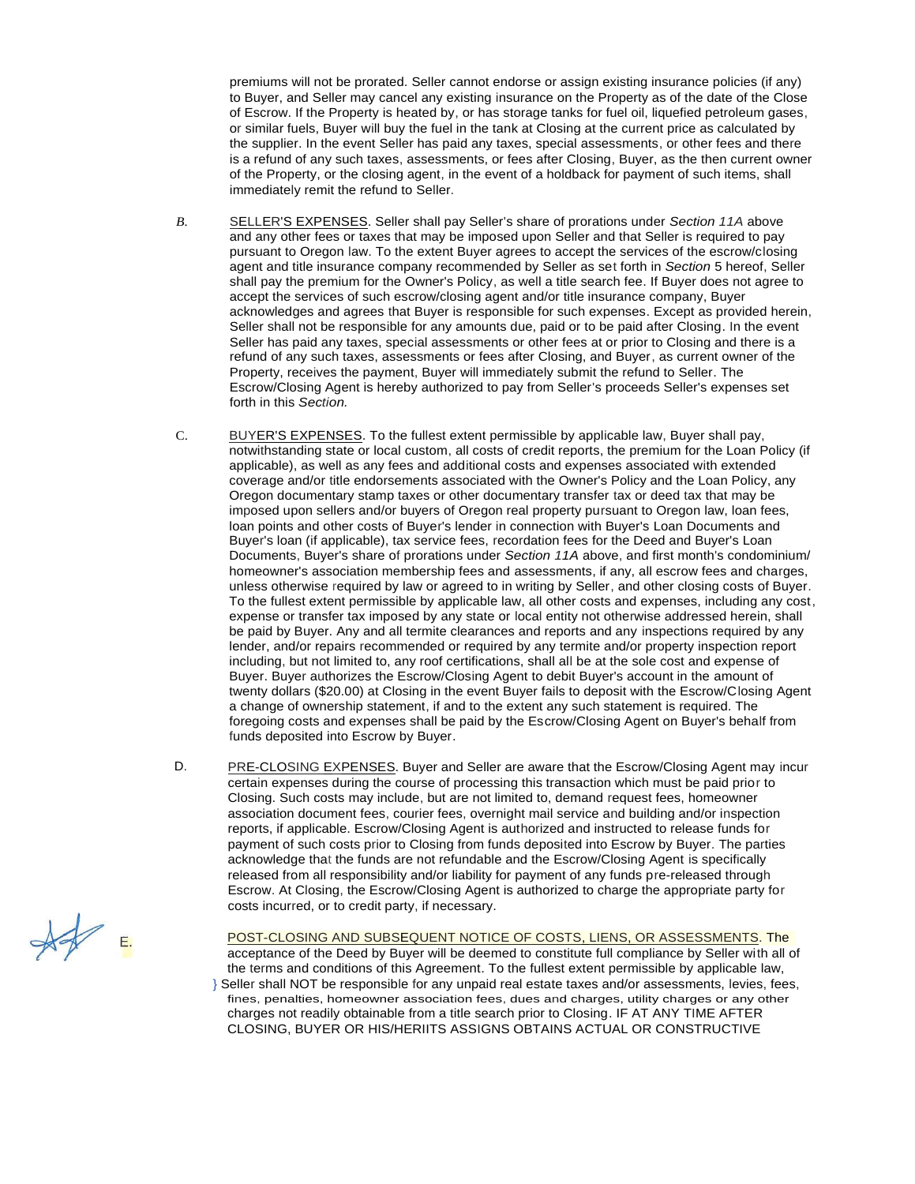premiums will not be prorated. Seller cannot endorse or assign existing insurance policies (if any) to Buyer, and Seller may cancel any existing insurance on the Property as of the date of the Close of Escrow. If the Property is heated by, or has storage tanks for fuel oil, liquefied petroleum gases, or similar fuels, Buyer will buy the fuel in the tank at Closing at the current price as calculated by the supplier. In the event Seller has paid any taxes, special assessments, or other fees and there is a refund of any such taxes, assessments, or fees after Closing, Buyer, as the then current owner of the Property, or the closing agent, in the event of a holdback for payment of such items, shall immediately remit the refund to Seller.

- *B.* SELLER'S EXPENSES. Seller shall pay Seller's share of prorations under *Section 11A* above and any other fees or taxes that may be imposed upon Seller and that Seller is required to pay pursuant to Oregon law. To the extent Buyer agrees to accept the services of the escrow/closing agent and title insurance company recommended by Seller as set forth in *Section* 5 hereof, Seller shall pay the premium for the Owner's Policy, as well a title search fee. If Buyer does not agree to accept the services of such escrow/closing agent and/or title insurance company, Buyer acknowledges and agrees that Buyer is responsible for such expenses. Except as provided herein, Seller shall not be responsible for any amounts due, paid or to be paid after Closing. In the event Seller has paid any taxes, special assessments or other fees at or prior to Closing and there is a refund of any such taxes, assessments or fees after Closing, and Buyer, as current owner of the Property, receives the payment, Buyer will immediately submit the refund to Seller. The Escrow/Closing Agent is hereby authorized to pay from Seller's proceeds Seller's expenses set forth in this *Section.*
- C. BUYER'S EXPENSES. To the fullest extent permissible by applicable law, Buyer shall pay, notwithstanding state or local custom, all costs of credit reports, the premium for the Loan Policy (if applicable), as well as any fees and additional costs and expenses associated with extended coverage and/or title endorsements associated with the Owner's Policy and the Loan Policy, any Oregon documentary stamp taxes or other documentary transfer tax or deed tax that may be imposed upon sellers and/or buyers of Oregon real property pursuant to Oregon law, loan fees, loan points and other costs of Buyer's lender in connection with Buyer's Loan Documents and Buyer's loan (if applicable), tax service fees, recordation fees for the Deed and Buyer's Loan Documents, Buyer's share of prorations under *Section 11A* above, and first month's condominium/ homeowner's association membership fees and assessments, if any, all escrow fees and charges, unless otherwise required by law or agreed to in writing by Seller, and other closing costs of Buyer. To the fullest extent permissible by applicable law, all other costs and expenses, including any cost, expense or transfer tax imposed by any state or local entity not otherwise addressed herein, shall be paid by Buyer. Any and all termite clearances and reports and any inspections required by any lender, and/or repairs recommended or required by any termite and/or property inspection report including, but not limited to, any roof certifications, shall all be at the sole cost and expense of Buyer. Buyer authorizes the Escrow/Closing Agent to debit Buyer's account in the amount of twenty dollars (\$20.00) at Closing in the event Buyer fails to deposit with the Escrow/Closing Agent a change of ownership statement, if and to the extent any such statement is required. The foregoing costs and expenses shall be paid by the Escrow/Closing Agent on Buyer's behalf from funds deposited into Escrow by Buyer.
- D. PRE-CLOSING EXPENSES. Buyer and Seller are aware that the Escrow/Closing Agent may incur certain expenses during the course of processing this transaction which must be paid prior to Closing. Such costs may include, but are not limited to, demand request fees, homeowner association document fees, courier fees, overnight mail service and building and/or inspection reports, if applicable. Escrow/Closing Agent is authorized and instructed to release funds for payment of such costs prior to Closing from funds deposited into Escrow by Buyer. The parties acknowledge that the funds are not refundable and the Escrow/Closing Agent is specifically released from all responsibility and/or liability for payment of any funds pre-released through Escrow. At Closing, the Escrow/Closing Agent is authorized to charge the appropriate party for costs incurred, or to credit party, if necessary.

 $\frac{1}{2}$ 

POST-CLOSING AND SUBSEQUENT NOTICE OF COSTS, LIENS, OR ASSESSMENTS. The acceptance of the Deed by Buyer will be deemed to constitute full compliance by Seller with all of

the terms and conditions of this Agreement. To the fullest extent permissible by applicable law, } Seller shall NOT be responsible for any unpaid real estate taxes and/or assessments, levies, fees, fines, penalties, homeowner association fees, dues and charges, utility charges or any other charges not readily obtainable from a title search prior to Closing. IF AT ANY TIME AFTER CLOSING, BUYER OR HIS/HERIITS ASSIGNS OBTAINS ACTUAL OR CONSTRUCTIVE